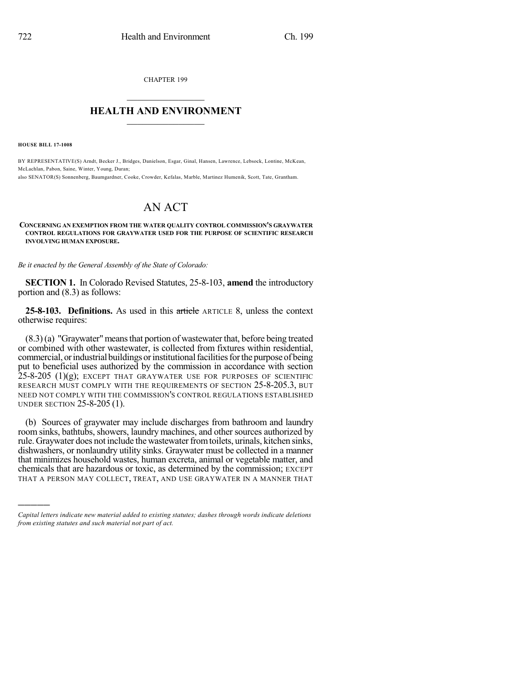CHAPTER 199

## $\overline{\phantom{a}}$  . The set of the set of the set of the set of the set of the set of the set of the set of the set of the set of the set of the set of the set of the set of the set of the set of the set of the set of the set o **HEALTH AND ENVIRONMENT**  $\_$

**HOUSE BILL 17-1008**

)))))

BY REPRESENTATIVE(S) Arndt, Becker J., Bridges, Danielson, Esgar, Ginal, Hansen, Lawrence, Lebsock, Lontine, McKean, McLachlan, Pabon, Saine, Winter, Young, Duran;

also SENATOR(S) Sonnenberg, Baumgardner, Cooke, Crowder, Kefalas, Marble, Martinez Humenik, Scott, Tate, Grantham.

## AN ACT

## **CONCERNING AN EXEMPTION FROM THE WATER QUALITY CONTROL COMMISSION'S GRAYWATER CONTROL REGULATIONS FOR GRAYWATER USED FOR THE PURPOSE OF SCIENTIFIC RESEARCH INVOLVING HUMAN EXPOSURE.**

*Be it enacted by the General Assembly of the State of Colorado:*

**SECTION 1.** In Colorado Revised Statutes, 25-8-103, **amend** the introductory portion and (8.3) as follows:

**25-8-103. Definitions.** As used in this article ARTICLE 8, unless the context otherwise requires:

(8.3)(a) "Graywater"meansthat portion of wastewater that, before being treated or combined with other wastewater, is collected from fixtures within residential, commercial, or industrial buildings or institutional facilities for the purpose of being put to beneficial uses authorized by the commission in accordance with section  $25-8-205$  (1)(g); EXCEPT THAT GRAYWATER USE FOR PURPOSES OF SCIENTIFIC RESEARCH MUST COMPLY WITH THE REQUIREMENTS OF SECTION 25-8-205.3, BUT NEED NOT COMPLY WITH THE COMMISSION'S CONTROL REGULATIONS ESTABLISHED UNDER SECTION 25-8-205 (1).

(b) Sources of graywater may include discharges from bathroom and laundry room sinks, bathtubs, showers, laundry machines, and other sources authorized by rule. Graywater does not include the wastewater from toilets, urinals, kitchen sinks, dishwashers, or nonlaundry utility sinks. Graywater must be collected in a manner that minimizes household wastes, human excreta, animal or vegetable matter, and chemicals that are hazardous or toxic, as determined by the commission; EXCEPT THAT A PERSON MAY COLLECT, TREAT, AND USE GRAYWATER IN A MANNER THAT

*Capital letters indicate new material added to existing statutes; dashes through words indicate deletions from existing statutes and such material not part of act.*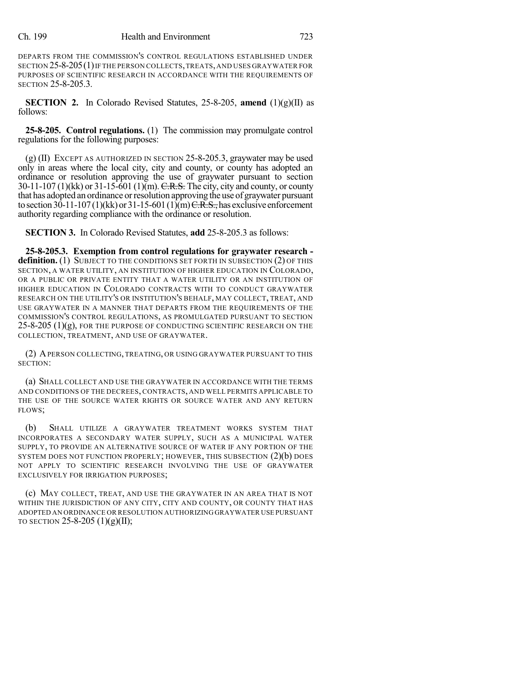DEPARTS FROM THE COMMISSION'S CONTROL REGULATIONS ESTABLISHED UNDER SECTION 25-8-205(1)IF THE PERSON COLLECTS,TREATS,AND USES GRAYWATER FOR PURPOSES OF SCIENTIFIC RESEARCH IN ACCORDANCE WITH THE REQUIREMENTS OF SECTION 25-8-205.3.

**SECTION 2.** In Colorado Revised Statutes, 25-8-205, **amend** (1)(g)(II) as follows:

**25-8-205. Control regulations.** (1) The commission may promulgate control regulations for the following purposes:

 $(g)$  (II) EXCEPT AS AUTHORIZED IN SECTION 25-8-205.3, graywater may be used only in areas where the local city, city and county, or county has adopted an ordinance or resolution approving the use of graywater pursuant to section  $30-11-107$  (1)(kk) or  $31-15-601$  (1)(m). C.R.S. The city, city and county, or county that has adopted an ordinance orresolution approving the use of graywater pursuant to section 30-11-107(1)(kk) or 31-15-601(1)(m)  $C.R.S.,$  has exclusive enforcement authority regarding compliance with the ordinance or resolution.

**SECTION 3.** In Colorado Revised Statutes, **add** 25-8-205.3 as follows:

**25-8-205.3. Exemption from control regulations for graywater research**  definition. (1) SUBJECT TO THE CONDITIONS SET FORTH IN SUBSECTION (2) OF THIS SECTION, A WATER UTILITY, AN INSTITUTION OF HIGHER EDUCATION IN COLORADO, OR A PUBLIC OR PRIVATE ENTITY THAT A WATER UTILITY OR AN INSTITUTION OF HIGHER EDUCATION IN COLORADO CONTRACTS WITH TO CONDUCT GRAYWATER RESEARCH ON THE UTILITY'S OR INSTITUTION'S BEHALF, MAY COLLECT, TREAT, AND USE GRAYWATER IN A MANNER THAT DEPARTS FROM THE REQUIREMENTS OF THE COMMISSION'S CONTROL REGULATIONS, AS PROMULGATED PURSUANT TO SECTION  $25$ -8-205 (1)(g), FOR THE PURPOSE OF CONDUCTING SCIENTIFIC RESEARCH ON THE COLLECTION, TREATMENT, AND USE OF GRAYWATER.

(2) APERSON COLLECTING, TREATING, OR USING GRAYWATER PURSUANT TO THIS SECTION:

(a) SHALL COLLECT AND USE THE GRAYWATER IN ACCORDANCE WITH THE TERMS AND CONDITIONS OF THE DECREES, CONTRACTS, AND WELL PERMITS APPLICABLE TO THE USE OF THE SOURCE WATER RIGHTS OR SOURCE WATER AND ANY RETURN FLOWS;

(b) SHALL UTILIZE A GRAYWATER TREATMENT WORKS SYSTEM THAT INCORPORATES A SECONDARY WATER SUPPLY, SUCH AS A MUNICIPAL WATER SUPPLY, TO PROVIDE AN ALTERNATIVE SOURCE OF WATER IF ANY PORTION OF THE SYSTEM DOES NOT FUNCTION PROPERLY; HOWEVER, THIS SUBSECTION (2)(b) DOES NOT APPLY TO SCIENTIFIC RESEARCH INVOLVING THE USE OF GRAYWATER EXCLUSIVELY FOR IRRIGATION PURPOSES;

(c) MAY COLLECT, TREAT, AND USE THE GRAYWATER IN AN AREA THAT IS NOT WITHIN THE JURISDICTION OF ANY CITY, CITY AND COUNTY, OR COUNTY THAT HAS ADOPTED AN ORDINANCE OR RESOLUTION AUTHORIZING GRAYWATER USE PURSUANT TO SECTION 25-8-205  $(1)(g)(II);$